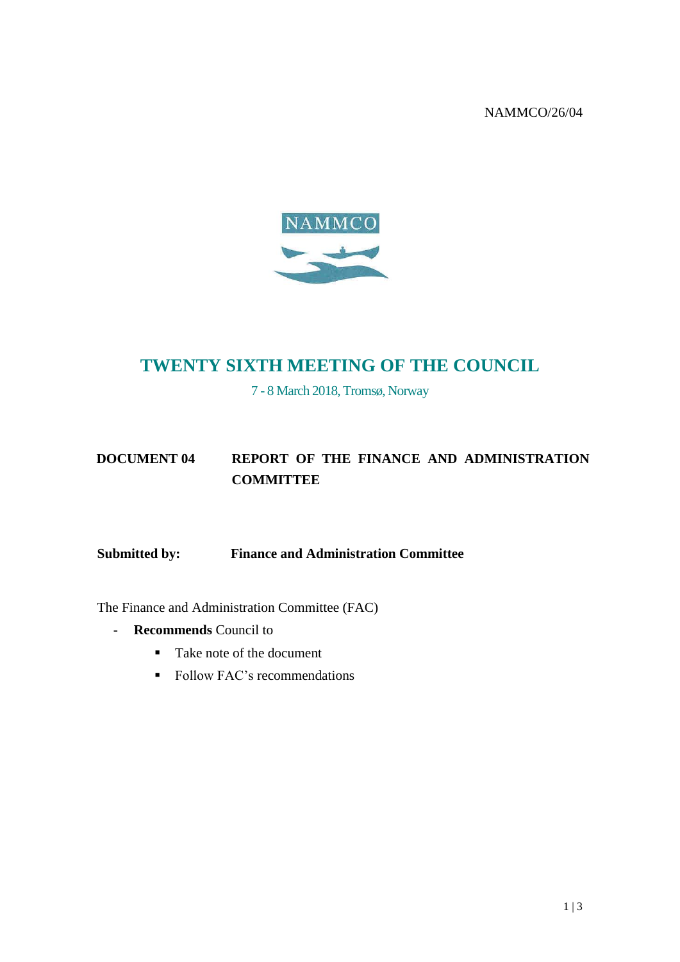NAMMCO/26/04



# **TWENTY SIXTH MEETING OF THE COUNCIL**

7 - 8 March 2018, Tromsø, Norway

## **DOCUMENT 04 REPORT OF THE FINANCE AND ADMINISTRATION COMMITTEE**

**Submitted by: Finance and Administration Committee**

The Finance and Administration Committee (FAC)

- **Recommends** Council to
	- Take note of the document
	- Follow FAC's recommendations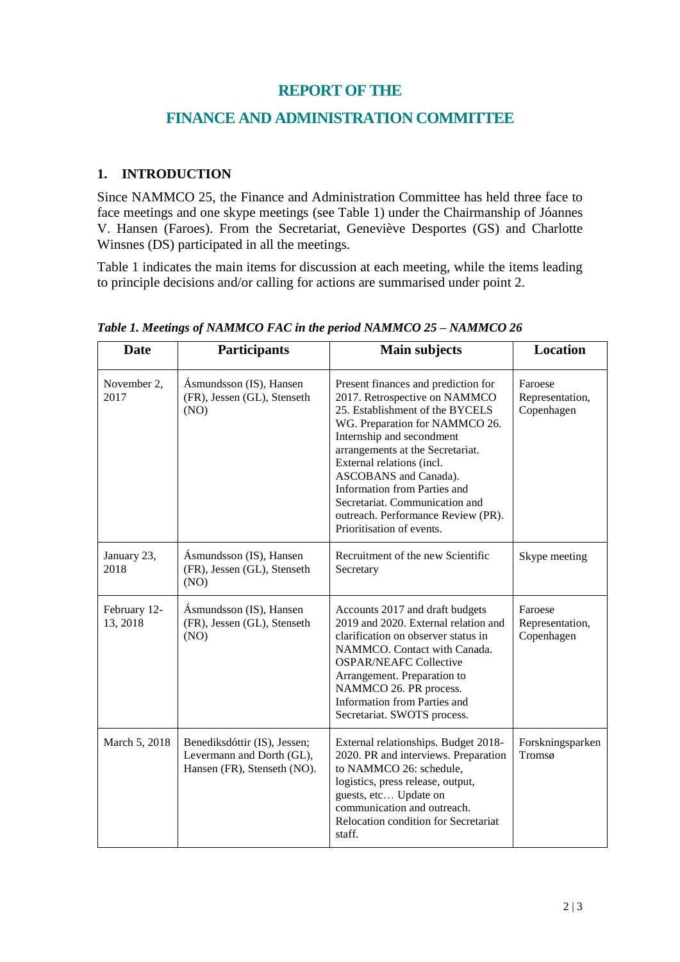### **REPORT OF THE**

## **FINANCE AND ADMINISTRATION COMMITTEE**

#### **1. INTRODUCTION**

Since NAMMCO 25, the Finance and Administration Committee has held three face to face meetings and one skype meetings (see Table 1) under the Chairmanship of Jóannes V. Hansen (Faroes). From the Secretariat, Geneviève Desportes (GS) and Charlotte Winsnes (DS) participated in all the meetings.

Table 1 indicates the main items for discussion at each meeting, while the items leading to principle decisions and/or calling for actions are summarised under point 2.

| <b>Date</b>              | <b>Participants</b>                                                                      | <b>Main subjects</b>                                                                                                                                                                                                                                                                                                                                                                                  | <b>Location</b>                          |
|--------------------------|------------------------------------------------------------------------------------------|-------------------------------------------------------------------------------------------------------------------------------------------------------------------------------------------------------------------------------------------------------------------------------------------------------------------------------------------------------------------------------------------------------|------------------------------------------|
| November 2,<br>2017      | Ásmundsson (IS), Hansen<br>(FR), Jessen (GL), Stenseth<br>(NO)                           | Present finances and prediction for<br>2017. Retrospective on NAMMCO<br>25. Establishment of the BYCELS<br>WG. Preparation for NAMMCO 26.<br>Internship and secondment<br>arrangements at the Secretariat.<br>External relations (incl.<br>ASCOBANS and Canada).<br>Information from Parties and<br>Secretariat. Communication and<br>outreach. Performance Review (PR).<br>Prioritisation of events. | Faroese<br>Representation,<br>Copenhagen |
| January 23,<br>2018      | Ásmundsson (IS), Hansen<br>(FR), Jessen (GL), Stenseth<br>(NO)                           | Recruitment of the new Scientific<br>Secretary                                                                                                                                                                                                                                                                                                                                                        | Skype meeting                            |
| February 12-<br>13, 2018 | Ásmundsson (IS), Hansen<br>(FR), Jessen (GL), Stenseth<br>(NO)                           | Accounts 2017 and draft budgets<br>2019 and 2020. External relation and<br>clarification on observer status in<br>NAMMCO. Contact with Canada.<br><b>OSPAR/NEAFC Collective</b><br>Arrangement. Preparation to<br>NAMMCO 26. PR process.<br>Information from Parties and<br>Secretariat. SWOTS process.                                                                                               | Faroese<br>Representation,<br>Copenhagen |
| March 5, 2018            | Benediksdóttir (IS), Jessen;<br>Levermann and Dorth (GL),<br>Hansen (FR), Stenseth (NO). | External relationships. Budget 2018-<br>2020. PR and interviews. Preparation<br>to NAMMCO 26: schedule,<br>logistics, press release, output,<br>guests, etc Update on<br>communication and outreach.<br>Relocation condition for Secretariat<br>staff.                                                                                                                                                | Forskningsparken<br>Tromsø               |

*Table 1. Meetings of NAMMCO FAC in the period NAMMCO 25 – NAMMCO 26*